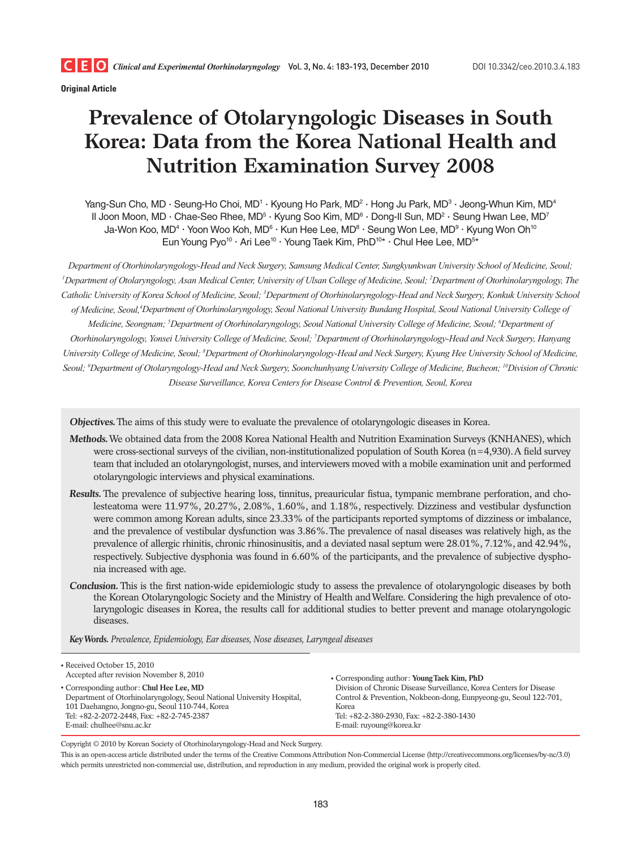

**Original Article**

# **Prevalence of Otolaryngologic Diseases in South Korea: Data from the Korea National Health and Nutrition Examination Survey 2008**

Yang-Sun Cho, MD · Seung-Ho Choi, MD<sup>1</sup> · Kyoung Ho Park, MD<sup>2</sup> · Hong Ju Park, MD<sup>3</sup> · Jeong-Whun Kim, MD<sup>4</sup> ll Joon Moon, MD · Chae-Seo Rhee, MD<sup>5</sup> · Kyung Soo Kim, MD<sup>6</sup> · Dong-Il Sun, MD<sup>2</sup> · Seung Hwan Lee, MD<sup>7</sup> Ja-Won Koo, MD<sup>4.</sup> Yoon Woo Koh, MD<sup>6.</sup> Kun Hee Lee, MD<sup>8.</sup> Seung Won Lee, MD<sup>9.</sup> Kyung Won Oh<sup>10</sup> Eun Young Pyo<sup>10</sup> · Ari Lee<sup>10</sup> · Young Taek Kim, PhD<sup>10\*</sup> · Chul Hee Lee, MD<sup>5\*</sup>

*Department of Otorhinolaryngology-Head and Neck Surgery, Samsung Medical Center, Sungkyunkwan University School of Medicine, Seoul; 1 Department of Otolaryngology, Asan Medical Center, University of Ulsan College of Medicine, Seoul; 2 Department of Otorhinolaryngology, The Catholic University of Korea School of Medicine, Seoul; 3 Department of Otorhinolaryngology-Head and Neck Surgery, Konkuk University School*  of Medicine, Seoul,<sup>4</sup>Department of Otorhinolaryngology, Seoul National University Bundang Hospital, Seoul National University College of *Medicine, Seongnam; 5 Department of Otorhinolaryngology, Seoul National University College of Medicine, Seoul; 6 Department of Otorhinolaryngology, Yonsei University College of Medicine, Seoul; 7 Department of Otorhinolaryngology-Head and Neck Surgery, Hanyang*  University College of Medicine, Seoul; <sup>8</sup>Department of Otorhinolaryngology-Head and Neck Surgery, Kyung Hee University School of Medicine, *Seoul; 9 Department of Otolaryngology-Head and Neck Surgery, Soonchunhyang University College of Medicine, Bucheon; 10Division of Chronic Disease Surveillance, Korea Centers for Disease Control & Prevention, Seoul, Korea*

**Objectives.** The aims of this study were to evaluate the prevalence of otolaryngologic diseases in Korea.

- **Methods.** We obtained data from the 2008 Korea National Health and Nutrition Examination Surveys (KNHANES), which were cross-sectional surveys of the civilian, non-institutionalized population of South Korea (n=4,930). A field survey team that included an otolaryngologist, nurses, and interviewers moved with a mobile examination unit and performed otolaryngologic interviews and physical examinations.
- **Results.** The prevalence of subjective hearing loss, tinnitus, preauricular fistua, tympanic membrane perforation, and cholesteatoma were 11.97%, 20.27%, 2.08%, 1.60%, and 1.18%, respectively. Dizziness and vestibular dysfunction were common among Korean adults, since 23.33% of the participants reported symptoms of dizziness or imbalance, and the prevalence of vestibular dysfunction was 3.86%. The prevalence of nasal diseases was relatively high, as the prevalence of allergic rhinitis, chronic rhinosinusitis, and a deviated nasal septum were 28.01%, 7.12%, and 42.94%, respectively. Subjective dysphonia was found in 6.60% of the participants, and the prevalence of subjective dysphonia increased with age.
- **Conclusion.** This is the first nation-wide epidemiologic study to assess the prevalence of otolaryngologic diseases by both the Korean Otolaryngologic Society and the Ministry of Health and Welfare. Considering the high prevalence of otolaryngologic diseases in Korea, the results call for additional studies to better prevent and manage otolaryngologic diseases.

**Key Words.** *Prevalence, Epidemiology, Ear diseases, Nose diseases, Laryngeal diseases*

| • Received October 15, 2010<br>Accepted after revision November 8, 2010 | • Corresponding author: Young Taek Kim, PhD                         |
|-------------------------------------------------------------------------|---------------------------------------------------------------------|
| • Corresponding author: Chul Hee Lee, MD                                | Division of Chronic Disease Surveillance, Korea Centers for Disease |
| Department of Otorhinolaryngology, Seoul National University Hospital,  | Control & Prevention, Nokbeon-dong, Eunpyeong-gu, Seoul 122-701,    |
| 101 Daehangno, Jongno-gu, Seoul 110-744, Korea                          | Korea                                                               |
| Tel: +82-2-2072-2448, Fax: +82-2-745-2387                               | Tel: +82-2-380-2930, Fax: +82-2-380-1430                            |
| E-mail: chulhee@snu.ac.kr                                               | E-mail: ruyoung@korea.kr                                            |
|                                                                         |                                                                     |

Copyright © 2010 by Korean Society of Otorhinolaryngology-Head and Neck Surgery.

This is an open-access article distributed under the terms of the Creative Commons Attribution Non-Commercial License (http://creativecommons.org/licenses/by-nc/3.0) which permits unrestricted non-commercial use, distribution, and reproduction in any medium, provided the original work is properly cited.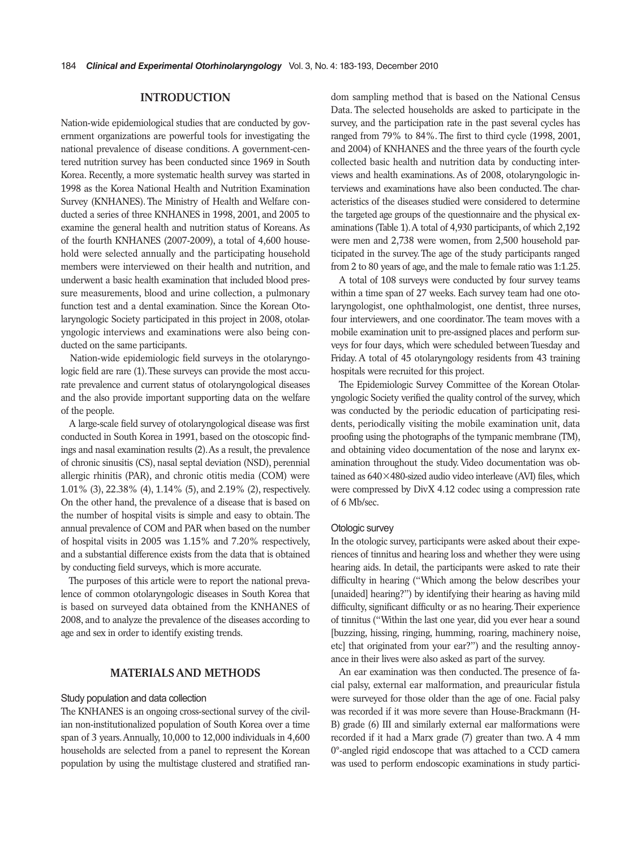## **INTRODUCTION**

Nation-wide epidemiological studies that are conducted by government organizations are powerful tools for investigating the national prevalence of disease conditions. A government-centered nutrition survey has been conducted since 1969 in South Korea. Recently, a more systematic health survey was started in 1998 as the Korea National Health and Nutrition Examination Survey (KNHANES). The Ministry of Health and Welfare conducted a series of three KNHANES in 1998, 2001, and 2005 to examine the general health and nutrition status of Koreans. As of the fourth KNHANES (2007-2009), a total of 4,600 household were selected annually and the participating household members were interviewed on their health and nutrition, and underwent a basic health examination that included blood pressure measurements, blood and urine collection, a pulmonary function test and a dental examination. Since the Korean Otolaryngologic Society participated in this project in 2008, otolaryngologic interviews and examinations were also being conducted on the same participants.

Nation-wide epidemiologic field surveys in the otolaryngologic field are rare (1). These surveys can provide the most accurate prevalence and current status of otolaryngological diseases and the also provide important supporting data on the welfare of the people.

A large-scale field survey of otolaryngological disease was first conducted in South Korea in 1991, based on the otoscopic findings and nasal examination results (2). As a result, the prevalence of chronic sinusitis (CS), nasal septal deviation (NSD), perennial allergic rhinitis (PAR), and chronic otitis media (COM) were 1.01% (3), 22.38% (4), 1.14% (5), and 2.19% (2), respectively. On the other hand, the prevalence of a disease that is based on the number of hospital visits is simple and easy to obtain. The annual prevalence of COM and PAR when based on the number of hospital visits in 2005 was 1.15% and 7.20% respectively, and a substantial difference exists from the data that is obtained by conducting field surveys, which is more accurate.

The purposes of this article were to report the national prevalence of common otolaryngologic diseases in South Korea that is based on surveyed data obtained from the KNHANES of 2008, and to analyze the prevalence of the diseases according to age and sex in order to identify existing trends.

## **MATERIALS AND METHODS**

#### Study population and data collection

The KNHANES is an ongoing cross-sectional survey of the civilian non-institutionalized population of South Korea over a time span of 3 years. Annually, 10,000 to 12,000 individuals in 4,600 households are selected from a panel to represent the Korean population by using the multistage clustered and stratified random sampling method that is based on the National Census Data. The selected households are asked to participate in the survey, and the participation rate in the past several cycles has ranged from 79% to 84%. The first to third cycle (1998, 2001, and 2004) of KNHANES and the three years of the fourth cycle collected basic health and nutrition data by conducting interviews and health examinations. As of 2008, otolaryngologic interviews and examinations have also been conducted. The characteristics of the diseases studied were considered to determine the targeted age groups of the questionnaire and the physical examinations (Table 1). A total of 4,930 participants, of which 2,192 were men and 2,738 were women, from 2,500 household participated in the survey. The age of the study participants ranged from 2 to 80 years of age, and the male to female ratio was 1:1.25.

A total of 108 surveys were conducted by four survey teams within a time span of 27 weeks. Each survey team had one otolaryngologist, one ophthalmologist, one dentist, three nurses, four interviewers, and one coordinator. The team moves with a mobile examination unit to pre-assigned places and perform surveys for four days, which were scheduled between Tuesday and Friday. A total of 45 otolaryngology residents from 43 training hospitals were recruited for this project.

The Epidemiologic Survey Committee of the Korean Otolaryngologic Society verified the quality control of the survey, which was conducted by the periodic education of participating residents, periodically visiting the mobile examination unit, data proofing using the photographs of the tympanic membrane (TM), and obtaining video documentation of the nose and larynx examination throughout the study. Video documentation was obtained as 640×480-sized audio video interleave (AVI) files, which were compressed by DivX 4.12 codec using a compression rate of 6 Mb/sec.

#### Otologic survey

In the otologic survey, participants were asked about their experiences of tinnitus and hearing loss and whether they were using hearing aids. In detail, the participants were asked to rate their difficulty in hearing ("Which among the below describes your [unaided] hearing?") by identifying their hearing as having mild difficulty, significant difficulty or as no hearing. Their experience of tinnitus ("Within the last one year, did you ever hear a sound [buzzing, hissing, ringing, humming, roaring, machinery noise, etc] that originated from your ear?") and the resulting annoyance in their lives were also asked as part of the survey.

An ear examination was then conducted. The presence of facial palsy, external ear malformation, and preauricular fistula were surveyed for those older than the age of one. Facial palsy was recorded if it was more severe than House-Brackmann (H-B) grade (6) III and similarly external ear malformations were recorded if it had a Marx grade (7) greater than two. A 4 mm 0°-angled rigid endoscope that was attached to a CCD camera was used to perform endoscopic examinations in study partici-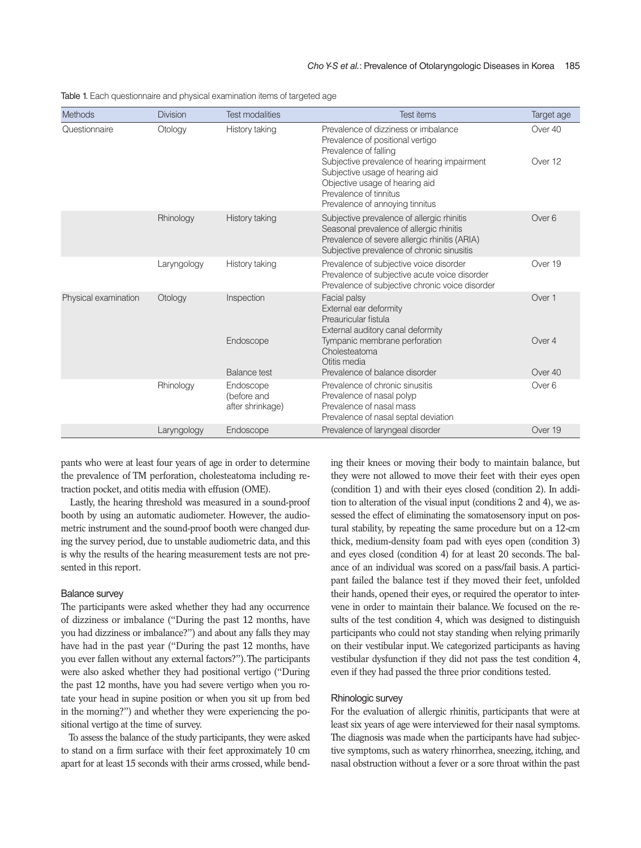| Methods              | <b>Division</b> | <b>Test modalities</b>                       | Test items                                                                                                                                                                            | Target age        |
|----------------------|-----------------|----------------------------------------------|---------------------------------------------------------------------------------------------------------------------------------------------------------------------------------------|-------------------|
| Questionnaire        | Otology         | History taking                               | Prevalence of dizziness or imbalance<br>Prevalence of positional vertigo<br>Prevalence of falling                                                                                     | Over 40           |
|                      |                 |                                              | Subjective prevalence of hearing impairment<br>Subjective usage of hearing aid<br>Objective usage of hearing aid<br>Prevalence of tinnitus<br>Prevalence of annoying tinnitus         | Over 12           |
|                      | Rhinology       | History taking                               | Subjective prevalence of allergic rhinitis<br>Seasonal prevalence of allergic rhinitis<br>Prevalence of severe allergic rhinitis (ARIA)<br>Subjective prevalence of chronic sinusitis | Over <sub>6</sub> |
|                      | Laryngology     | History taking                               | Prevalence of subjective voice disorder<br>Prevalence of subjective acute voice disorder<br>Prevalence of subjective chronic voice disorder                                           | Over 19           |
| Physical examination | Otology         | Inspection                                   | Facial palsy<br>External ear deformity<br>Preauricular fistula<br>External auditory canal deformity                                                                                   | Over 1            |
|                      |                 | Endoscope                                    | Tympanic membrane perforation<br>Cholesteatoma<br>Otitis media                                                                                                                        | Over 4            |
|                      |                 | <b>Balance test</b>                          | Prevalence of balance disorder                                                                                                                                                        | Over 40           |
|                      | Rhinology       | Endoscope<br>(before and<br>after shrinkage) | Prevalence of chronic sinusitis<br>Prevalence of nasal polyp<br>Prevalence of nasal mass<br>Prevalence of nasal septal deviation                                                      | Over <sub>6</sub> |
|                      | Laryngology     | Endoscope                                    | Prevalence of laryngeal disorder                                                                                                                                                      | Over 19           |

Table 1. Each questionnaire and physical examination items of targeted age

pants who were at least four years of age in order to determine the prevalence of TM perforation, cholesteatoma including retraction pocket, and otitis media with effusion (OME).

Lastly, the hearing threshold was measured in a sound-proof booth by using an automatic audiometer. However, the audiometric instrument and the sound-proof booth were changed during the survey period, due to unstable audiometric data, and this is why the results of the hearing measurement tests are not presented in this report.

#### Balance survey

The participants were asked whether they had any occurrence of dizziness or imbalance ("During the past 12 months, have you had dizziness or imbalance?") and about any falls they may have had in the past year ("During the past 12 months, have you ever fallen without any external factors?"). The participants were also asked whether they had positional vertigo ("During the past 12 months, have you had severe vertigo when you rotate your head in supine position or when you sit up from bed in the morning?") and whether they were experiencing the positional vertigo at the time of survey.

To assess the balance of the study participants, they were asked to stand on a firm surface with their feet approximately 10 cm apart for at least 15 seconds with their arms crossed, while bending their knees or moving their body to maintain balance, but they were not allowed to move their feet with their eyes open (condition 1) and with their eyes closed (condition 2). In addition to alteration of the visual input (conditions 2 and 4), we assessed the effect of eliminating the somatosensory input on postural stability, by repeating the same procedure but on a 12-cm thick, medium-density foam pad with eyes open (condition 3) and eyes closed (condition 4) for at least 20 seconds. The balance of an individual was scored on a pass/fail basis. A participant failed the balance test if they moved their feet, unfolded their hands, opened their eyes, or required the operator to intervene in order to maintain their balance. We focused on the results of the test condition 4, which was designed to distinguish participants who could not stay standing when relying primarily on their vestibular input. We categorized participants as having vestibular dysfunction if they did not pass the test condition 4, even if they had passed the three prior conditions tested.

#### Rhinologic survey

For the evaluation of allergic rhinitis, participants that were at least six years of age were interviewed for their nasal symptoms. The diagnosis was made when the participants have had subjective symptoms, such as watery rhinorrhea, sneezing, itching, and nasal obstruction without a fever or a sore throat within the past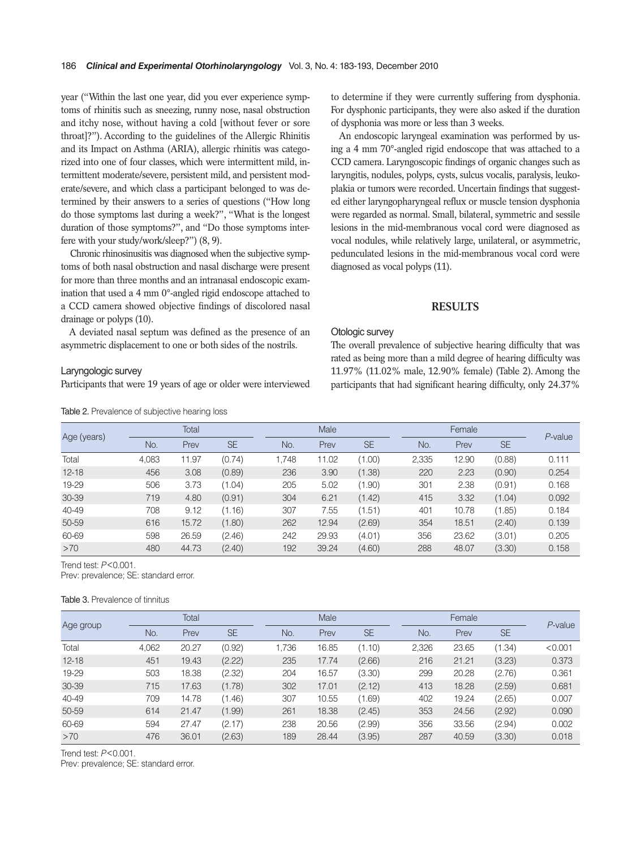year ("Within the last one year, did you ever experience symptoms of rhinitis such as sneezing, runny nose, nasal obstruction and itchy nose, without having a cold [without fever or sore throat]?"). According to the guidelines of the Allergic Rhinitis and its Impact on Asthma (ARIA), allergic rhinitis was categorized into one of four classes, which were intermittent mild, intermittent moderate/severe, persistent mild, and persistent moderate/severe, and which class a participant belonged to was determined by their answers to a series of questions ("How long do those symptoms last during a week?", "What is the longest duration of those symptoms?", and "Do those symptoms interfere with your study/work/sleep?") (8, 9).

Chronic rhinosinusitis was diagnosed when the subjective symptoms of both nasal obstruction and nasal discharge were present for more than three months and an intranasal endoscopic examination that used a 4 mm 0°-angled rigid endoscope attached to a CCD camera showed objective findings of discolored nasal drainage or polyps (10).

A deviated nasal septum was defined as the presence of an asymmetric displacement to one or both sides of the nostrils.

#### Laryngologic survey

Participants that were 19 years of age or older were interviewed

Table 2. Prevalence of subjective hearing loss

to determine if they were currently suffering from dysphonia. For dysphonic participants, they were also asked if the duration of dysphonia was more or less than 3 weeks.

An endoscopic laryngeal examination was performed by using a 4 mm 70°-angled rigid endoscope that was attached to a CCD camera. Laryngoscopic findings of organic changes such as laryngitis, nodules, polyps, cysts, sulcus vocalis, paralysis, leukoplakia or tumors were recorded. Uncertain findings that suggested either laryngopharyngeal reflux or muscle tension dysphonia were regarded as normal. Small, bilateral, symmetric and sessile lesions in the mid-membranous vocal cord were diagnosed as vocal nodules, while relatively large, unilateral, or asymmetric, pedunculated lesions in the mid-membranous vocal cord were diagnosed as vocal polyps (11).

## **RESULTS**

## Otologic survey

The overall prevalence of subjective hearing difficulty that was rated as being more than a mild degree of hearing difficulty was 11.97% (11.02% male, 12.90% female) (Table 2). Among the participants that had significant hearing difficulty, only 24.37%

|             |       | Total |           |       | Male  |           |       | Female |           | $P$ -value |
|-------------|-------|-------|-----------|-------|-------|-----------|-------|--------|-----------|------------|
| Age (years) | No.   | Prev  | <b>SE</b> | No.   | Prev  | <b>SE</b> | No.   | Prev   | <b>SE</b> |            |
| Total       | 4,083 | 11.97 | (0.74)    | 1.748 | 11.02 | (1.00)    | 2,335 | 12.90  | (0.88)    | 0.111      |
| $12 - 18$   | 456   | 3.08  | (0.89)    | 236   | 3.90  | (1.38)    | 220   | 2.23   | (0.90)    | 0.254      |
| 19-29       | 506   | 3.73  | (1.04)    | 205   | 5.02  | (1.90)    | 301   | 2.38   | (0.91)    | 0.168      |
| 30-39       | 719   | 4.80  | (0.91)    | 304   | 6.21  | (1.42)    | 415   | 3.32   | (1.04)    | 0.092      |
| 40-49       | 708   | 9.12  | (1.16)    | 307   | 7.55  | (1.51)    | 401   | 10.78  | (1.85)    | 0.184      |
| 50-59       | 616   | 15.72 | (1.80)    | 262   | 12.94 | (2.69)    | 354   | 18.51  | (2.40)    | 0.139      |
| 60-69       | 598   | 26.59 | (2.46)    | 242   | 29.93 | (4.01)    | 356   | 23.62  | (3.01)    | 0.205      |
| >70         | 480   | 44.73 | (2.40)    | 192   | 39.24 | (4.60)    | 288   | 48.07  | (3.30)    | 0.158      |

Trend test: *P*<0.001.

Prev: prevalence; SE: standard error.

Table 3. Prevalence of tinnitus

|           | Total |       |           |       | Male  |           |       | Female |           |            |  |
|-----------|-------|-------|-----------|-------|-------|-----------|-------|--------|-----------|------------|--|
| Age group | No.   | Prev  | <b>SE</b> | No.   | Prev  | <b>SE</b> | No.   | Prev   | <b>SE</b> | $P$ -value |  |
| Total     | 4,062 | 20.27 | (0.92)    | 1.736 | 16.85 | (1.10)    | 2,326 | 23.65  | (1.34)    | < 0.001    |  |
| $12 - 18$ | 451   | 19.43 | (2.22)    | 235   | 17.74 | (2.66)    | 216   | 21.21  | (3.23)    | 0.373      |  |
| 19-29     | 503   | 18.38 | (2.32)    | 204   | 16.57 | (3.30)    | 299   | 20.28  | (2.76)    | 0.361      |  |
| 30-39     | 715   | 17.63 | (1.78)    | 302   | 17.01 | (2.12)    | 413   | 18.28  | (2.59)    | 0.681      |  |
| 40-49     | 709   | 14.78 | (1.46)    | 307   | 10.55 | (1.69)    | 402   | 19.24  | (2.65)    | 0.007      |  |
| 50-59     | 614   | 21.47 | (1.99)    | 261   | 18.38 | (2.45)    | 353   | 24.56  | (2.92)    | 0.090      |  |
| 60-69     | 594   | 27.47 | (2.17)    | 238   | 20.56 | (2.99)    | 356   | 33.56  | (2.94)    | 0.002      |  |
| >70       | 476   | 36.01 | (2.63)    | 189   | 28.44 | (3.95)    | 287   | 40.59  | (3.30)    | 0.018      |  |

Trend test: *P*<0.001.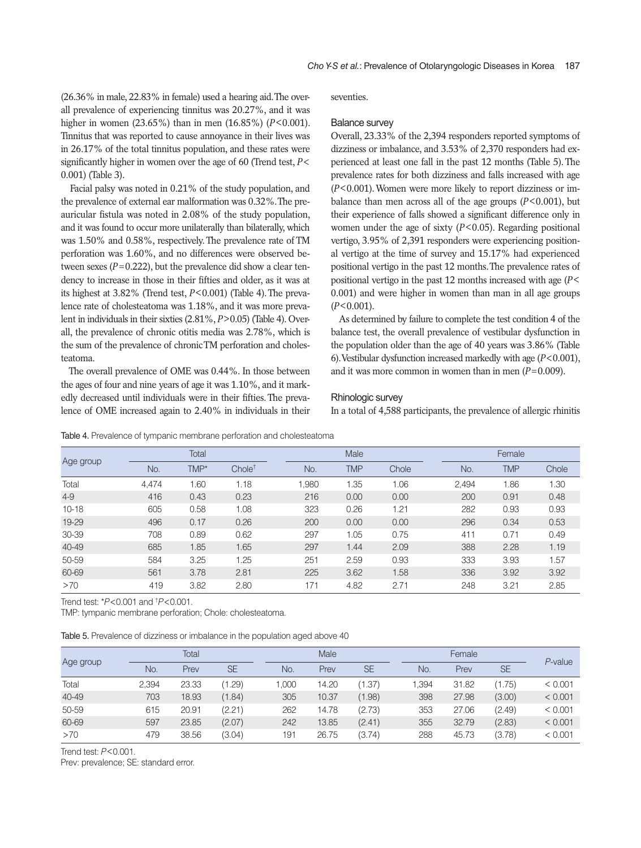(26.36% in male, 22.83% in female) used a hearing aid. The overall prevalence of experiencing tinnitus was 20.27%, and it was higher in women (23.65%) than in men (16.85%) (*P*<0.001). Tinnitus that was reported to cause annoyance in their lives was in 26.17% of the total tinnitus population, and these rates were significantly higher in women over the age of 60 (Trend test, *P*< 0.001) (Table 3).

Facial palsy was noted in 0.21% of the study population, and the prevalence of external ear malformation was 0.32%. The preauricular fistula was noted in 2.08% of the study population, and it was found to occur more unilaterally than bilaterally, which was 1.50% and 0.58%, respectively. The prevalence rate of TM perforation was 1.60%, and no differences were observed between sexes  $(P=0.222)$ , but the prevalence did show a clear tendency to increase in those in their fifties and older, as it was at its highest at 3.82% (Trend test, *P*<0.001) (Table 4). The prevalence rate of cholesteatoma was 1.18%, and it was more prevalent in individuals in their sixties (2.81%, *P*>0.05) (Table 4). Overall, the prevalence of chronic otitis media was 2.78%, which is the sum of the prevalence of chronic TM perforation and cholesteatoma.

The overall prevalence of OME was 0.44%. In those between the ages of four and nine years of age it was 1.10%, and it markedly decreased until individuals were in their fifties. The prevalence of OME increased again to 2.40% in individuals in their seventies.

#### Balance survey

Overall, 23.33% of the 2,394 responders reported symptoms of dizziness or imbalance, and 3.53% of 2,370 responders had experienced at least one fall in the past 12 months (Table 5). The prevalence rates for both dizziness and falls increased with age (*P*<0.001). Women were more likely to report dizziness or imbalance than men across all of the age groups  $(P<0.001)$ , but their experience of falls showed a significant difference only in women under the age of sixty (*P*<0.05). Regarding positional vertigo, 3.95% of 2,391 responders were experiencing positional vertigo at the time of survey and 15.17% had experienced positional vertigo in the past 12 months. The prevalence rates of positional vertigo in the past 12 months increased with age (*P*< 0.001) and were higher in women than man in all age groups (*P*<0.001).

As determined by failure to complete the test condition 4 of the balance test, the overall prevalence of vestibular dysfunction in the population older than the age of 40 years was 3.86% (Table 6). Vestibular dysfunction increased markedly with age (*P*<0.001), and it was more common in women than in men  $(P=0.009)$ .

#### Rhinologic survey

In a total of 4,588 participants, the prevalence of allergic rhinitis

|           |       | Total |                    |      | Male       |       |       | Female     |       |
|-----------|-------|-------|--------------------|------|------------|-------|-------|------------|-------|
| Age group | No.   | TMP*  | Chole <sup>†</sup> | No.  | <b>TMP</b> | Chole | No.   | <b>TMP</b> | Chole |
| Total     | 4.474 | 1.60  | 1.18               | .980 | 1.35       | 1.06  | 2,494 | 1.86       | 1.30  |
| $4 - 9$   | 416   | 0.43  | 0.23               | 216  | 0.00       | 0.00  | 200   | 0.91       | 0.48  |
| $10 - 18$ | 605   | 0.58  | 1.08               | 323  | 0.26       | 1.21  | 282   | 0.93       | 0.93  |
| 19-29     | 496   | 0.17  | 0.26               | 200  | 0.00       | 0.00  | 296   | 0.34       | 0.53  |
| 30-39     | 708   | 0.89  | 0.62               | 297  | 1.05       | 0.75  | 411   | 0.71       | 0.49  |
| 40-49     | 685   | 1.85  | 1.65               | 297  | 1.44       | 2.09  | 388   | 2.28       | 1.19  |
| 50-59     | 584   | 3.25  | 1.25               | 251  | 2.59       | 0.93  | 333   | 3.93       | 1.57  |
| 60-69     | 561   | 3.78  | 2.81               | 225  | 3.62       | 1.58  | 336   | 3.92       | 3.92  |
| >70       | 419   | 3.82  | 2.80               | 171  | 4.82       | 2.71  | 248   | 3.21       | 2.85  |

Table 4. Prevalence of tympanic membrane perforation and cholesteatoma

Trend test: \**P*<0.001 and † *P*<0.001.

TMP: tympanic membrane perforation; Chole: cholesteatoma.

Table 5. Prevalence of dizziness or imbalance in the population aged above 40

| Age group |       | Total |           |       | Male  |           |       | Female |           |            |  |
|-----------|-------|-------|-----------|-------|-------|-----------|-------|--------|-----------|------------|--|
|           | No.   | Prev  | <b>SE</b> | No.   | Prev  | <b>SE</b> | No.   | Prev   | <b>SE</b> | $P$ -value |  |
| Total     | 2.394 | 23.33 | (1.29)    | 1.000 | 14.20 | (1.37)    | 1.394 | 31.82  | (1.75)    | < 0.001    |  |
| 40-49     | 703   | 18.93 | (1.84)    | 305   | 10.37 | (1.98)    | 398   | 27.98  | (3.00)    | < 0.001    |  |
| 50-59     | 615   | 20.91 | (2.21)    | 262   | 14.78 | (2.73)    | 353   | 27.06  | (2.49)    | < 0.001    |  |
| 60-69     | 597   | 23.85 | (2.07)    | 242   | 13.85 | (2.41)    | 355   | 32.79  | (2.83)    | < 0.001    |  |
| >70       | 479   | 38.56 | (3.04)    | 191   | 26.75 | (3.74)    | 288   | 45.73  | (3.78)    | < 0.001    |  |

Trend test: *P*<0.001.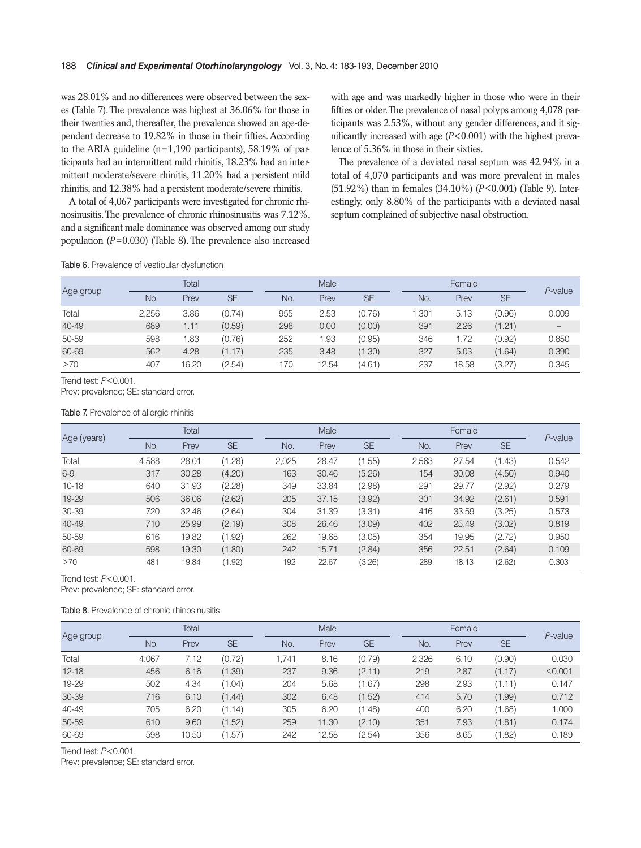was 28.01% and no differences were observed between the sexes (Table 7). The prevalence was highest at 36.06% for those in their twenties and, thereafter, the prevalence showed an age-dependent decrease to 19.82% in those in their fifties. According to the ARIA guideline (n=1,190 participants), 58.19% of participants had an intermittent mild rhinitis, 18.23% had an intermittent moderate/severe rhinitis, 11.20% had a persistent mild rhinitis, and 12.38% had a persistent moderate/severe rhinitis.

A total of 4,067 participants were investigated for chronic rhinosinusitis. The prevalence of chronic rhinosinusitis was 7.12%, and a significant male dominance was observed among our study population (*P*=0.030) (Table 8). The prevalence also increased with age and was markedly higher in those who were in their fifties or older. The prevalence of nasal polyps among 4,078 participants was 2.53%, without any gender differences, and it significantly increased with age (*P*<0.001) with the highest prevalence of 5.36% in those in their sixties.

The prevalence of a deviated nasal septum was 42.94% in a total of 4,070 participants and was more prevalent in males (51.92%) than in females (34.10%) (*P*<0.001) (Table 9). Interestingly, only 8.80% of the participants with a deviated nasal septum complained of subjective nasal obstruction.

Table 6. Prevalence of vestibular dysfunction

| Age group | Total |       |           |     | Male  |           |       | Female |           |            |  |
|-----------|-------|-------|-----------|-----|-------|-----------|-------|--------|-----------|------------|--|
|           | No.   | Prev  | <b>SE</b> | No. | Prev  | <b>SE</b> | No.   | Prev   | <b>SE</b> | $P$ -value |  |
| Total     | 2,256 | 3.86  | (0.74)    | 955 | 2.53  | (0.76)    | 1,301 | 5.13   | (0.96)    | 0.009      |  |
| 40-49     | 689   | 1.11  | (0.59)    | 298 | 0.00  | (0.00)    | 391   | 2.26   | (1.21)    |            |  |
| 50-59     | 598   | 1.83  | (0.76)    | 252 | .93   | (0.95)    | 346   | 1.72   | (0.92)    | 0.850      |  |
| 60-69     | 562   | 4.28  | (1.17)    | 235 | 3.48  | (1.30)    | 327   | 5.03   | (1.64)    | 0.390      |  |
| >70       | 407   | 16.20 | (2.54)    | 170 | 12.54 | (4.61)    | 237   | 18.58  | (3.27)    | 0.345      |  |

Trend test: *P*<0.001.

Prev: prevalence; SE: standard error.

Table 7. Prevalence of allergic rhinitis

| Age (years) |       | Total |           |       | Male  |           |       | Female |           |            |  |
|-------------|-------|-------|-----------|-------|-------|-----------|-------|--------|-----------|------------|--|
|             | No.   | Prev  | <b>SE</b> | No.   | Prev  | <b>SE</b> | No.   | Prev   | <b>SE</b> | $P$ -value |  |
| Total       | 4,588 | 28.01 | (1.28)    | 2,025 | 28.47 | (1.55)    | 2,563 | 27.54  | (1.43)    | 0.542      |  |
| $6-9$       | 317   | 30.28 | (4.20)    | 163   | 30.46 | (5.26)    | 154   | 30.08  | (4.50)    | 0.940      |  |
| $10 - 18$   | 640   | 31.93 | (2.28)    | 349   | 33.84 | (2.98)    | 291   | 29.77  | (2.92)    | 0.279      |  |
| $19 - 29$   | 506   | 36.06 | (2.62)    | 205   | 37.15 | (3.92)    | 301   | 34.92  | (2.61)    | 0.591      |  |
| 30-39       | 720   | 32.46 | (2.64)    | 304   | 31.39 | (3.31)    | 416   | 33.59  | (3.25)    | 0.573      |  |
| 40-49       | 710   | 25.99 | (2.19)    | 308   | 26.46 | (3.09)    | 402   | 25.49  | (3.02)    | 0.819      |  |
| 50-59       | 616   | 19.82 | (1.92)    | 262   | 19.68 | (3.05)    | 354   | 19.95  | (2.72)    | 0.950      |  |
| 60-69       | 598   | 19.30 | (1.80)    | 242   | 15.71 | (2.84)    | 356   | 22.51  | (2.64)    | 0.109      |  |
| >70         | 481   | 19.84 | (1.92)    | 192   | 22.67 | (3.26)    | 289   | 18.13  | (2.62)    | 0.303      |  |

Trend test: *P*<0.001.

Prev: prevalence; SE: standard error.

#### Table 8. Prevalence of chronic rhinosinusitis

| Age group |       | Total |           |       | Male  |           |       | Female |           | $P$ -value |
|-----------|-------|-------|-----------|-------|-------|-----------|-------|--------|-----------|------------|
|           | No.   | Prev  | <b>SE</b> | No.   | Prev  | <b>SE</b> | No.   | Prev   | <b>SE</b> |            |
| Total     | 4.067 | 7.12  | (0.72)    | 1.741 | 8.16  | (0.79)    | 2,326 | 6.10   | (0.90)    | 0.030      |
| $12 - 18$ | 456   | 6.16  | (1.39)    | 237   | 9.36  | (2.11)    | 219   | 2.87   | (1.17)    | < 0.001    |
| 19-29     | 502   | 4.34  | (1.04)    | 204   | 5.68  | (1.67)    | 298   | 2.93   | (1.11)    | 0.147      |
| 30-39     | 716   | 6.10  | (1.44)    | 302   | 6.48  | (1.52)    | 414   | 5.70   | (1.99)    | 0.712      |
| 40-49     | 705   | 6.20  | (1.14)    | 305   | 6.20  | (1.48)    | 400   | 6.20   | (1.68)    | 1.000      |
| 50-59     | 610   | 9.60  | (1.52)    | 259   | 11.30 | (2.10)    | 351   | 7.93   | (1.81)    | 0.174      |
| 60-69     | 598   | 10.50 | (1.57)    | 242   | 12.58 | (2.54)    | 356   | 8.65   | (1.82)    | 0.189      |

Trend test: *P*<0.001.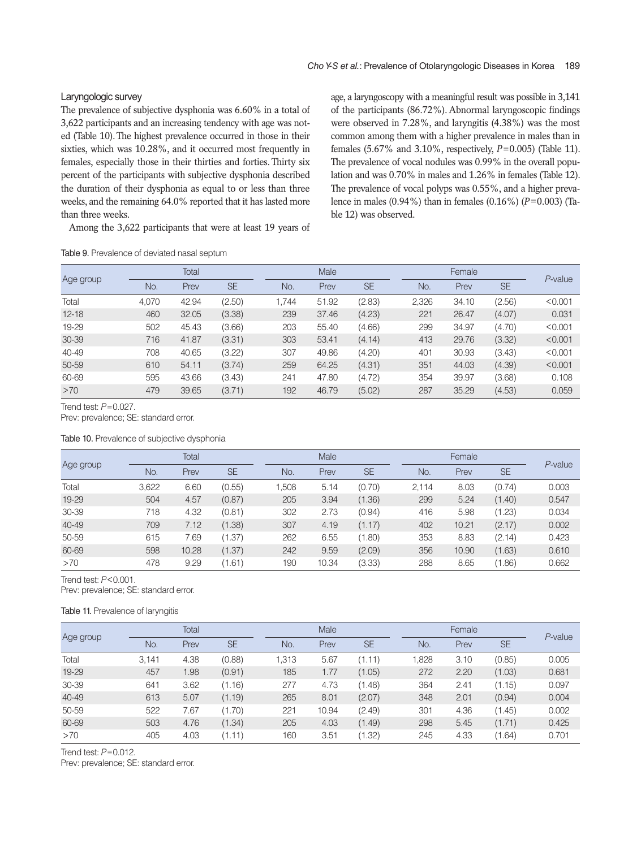# Laryngologic survey

The prevalence of subjective dysphonia was 6.60% in a total of 3,622 participants and an increasing tendency with age was noted (Table 10). The highest prevalence occurred in those in their sixties, which was 10.28%, and it occurred most frequently in females, especially those in their thirties and forties. Thirty six percent of the participants with subjective dysphonia described the duration of their dysphonia as equal to or less than three weeks, and the remaining 64.0% reported that it has lasted more than three weeks.

Among the 3,622 participants that were at least 19 years of

age, a laryngoscopy with a meaningful result was possible in 3,141 of the participants (86.72%). Abnormal laryngoscopic findings were observed in 7.28%, and laryngitis (4.38%) was the most common among them with a higher prevalence in males than in females (5.67% and 3.10%, respectively, *P*=0.005) (Table 11). The prevalence of vocal nodules was 0.99% in the overall population and was 0.70% in males and 1.26% in females (Table 12). The prevalence of vocal polyps was 0.55%, and a higher prevalence in males (0.94%) than in females (0.16%) (*P*=0.003) (Table 12) was observed.

Table 9. Prevalence of deviated nasal septum

| Age group |       | Total |           |       | Male  |           |       | Female |           |            |  |
|-----------|-------|-------|-----------|-------|-------|-----------|-------|--------|-----------|------------|--|
|           | No.   | Prev  | <b>SE</b> | No.   | Prev  | <b>SE</b> | No.   | Prev   | <b>SE</b> | $P$ -value |  |
| Total     | 4,070 | 42.94 | (2.50)    | 1.744 | 51.92 | (2.83)    | 2,326 | 34.10  | (2.56)    | < 0.001    |  |
| $12 - 18$ | 460   | 32.05 | (3.38)    | 239   | 37.46 | (4.23)    | 221   | 26.47  | (4.07)    | 0.031      |  |
| 19-29     | 502   | 45.43 | (3.66)    | 203   | 55.40 | (4.66)    | 299   | 34.97  | (4.70)    | < 0.001    |  |
| 30-39     | 716   | 41.87 | (3.31)    | 303   | 53.41 | (4.14)    | 413   | 29.76  | (3.32)    | < 0.001    |  |
| 40-49     | 708   | 40.65 | (3.22)    | 307   | 49.86 | (4.20)    | 401   | 30.93  | (3.43)    | < 0.001    |  |
| 50-59     | 610   | 54.11 | (3.74)    | 259   | 64.25 | (4.31)    | 351   | 44.03  | (4.39)    | < 0.001    |  |
| 60-69     | 595   | 43.66 | (3.43)    | 241   | 47.80 | (4.72)    | 354   | 39.97  | (3.68)    | 0.108      |  |
| >70       | 479   | 39.65 | (3.71)    | 192   | 46.79 | (5.02)    | 287   | 35.29  | (4.53)    | 0.059      |  |

Trend test: *P*=0.027.

Prev: prevalence; SE: standard error.

#### Table 10. Prevalence of subjective dysphonia

|           |       | Total |           |       | Male  |           |       | Female |           | $P$ -value |
|-----------|-------|-------|-----------|-------|-------|-----------|-------|--------|-----------|------------|
| Age group | No.   | Prev  | <b>SE</b> | No.   | Prev  | <b>SE</b> | No.   | Prev   | <b>SE</b> |            |
| Total     | 3.622 | 6.60  | (0.55)    | 1.508 | 5.14  | (0.70)    | 2.114 | 8.03   | (0.74)    | 0.003      |
| $19 - 29$ | 504   | 4.57  | (0.87)    | 205   | 3.94  | (1.36)    | 299   | 5.24   | (1.40)    | 0.547      |
| 30-39     | 718   | 4.32  | (0.81)    | 302   | 2.73  | (0.94)    | 416   | 5.98   | (1.23)    | 0.034      |
| 40-49     | 709   | 7.12  | (1.38)    | 307   | 4.19  | (1.17)    | 402   | 10.21  | (2.17)    | 0.002      |
| 50-59     | 615   | 7.69  | (1.37)    | 262   | 6.55  | (1.80)    | 353   | 8.83   | (2.14)    | 0.423      |
| 60-69     | 598   | 10.28 | (1.37)    | 242   | 9.59  | (2.09)    | 356   | 10.90  | (1.63)    | 0.610      |
| >70       | 478   | 9.29  | (1.61)    | 190   | 10.34 | (3.33)    | 288   | 8.65   | (1.86)    | 0.662      |

Trend test: *P*<0.001.

Prev: prevalence; SE: standard error.

## Table 11. Prevalence of laryngitis

| Age group |       | Total |           |       | Male  |           |       | Female |           | $P$ -value |
|-----------|-------|-------|-----------|-------|-------|-----------|-------|--------|-----------|------------|
|           | No.   | Prev  | <b>SE</b> | No.   | Prev  | <b>SE</b> | No.   | Prev   | <b>SE</b> |            |
| Total     | 3.141 | 4.38  | (0.88)    | 1.313 | 5.67  | (1.11)    | 1.828 | 3.10   | (0.85)    | 0.005      |
| 19-29     | 457   | 1.98  | (0.91)    | 185   | 1.77  | (1.05)    | 272   | 2.20   | (1.03)    | 0.681      |
| 30-39     | 641   | 3.62  | (1.16)    | 277   | 4.73  | (1.48)    | 364   | 2.41   | (1.15)    | 0.097      |
| 40-49     | 613   | 5.07  | (1.19)    | 265   | 8.01  | (2.07)    | 348   | 2.01   | (0.94)    | 0.004      |
| 50-59     | 522   | 7.67  | (1.70)    | 221   | 10.94 | (2.49)    | 301   | 4.36   | (1.45)    | 0.002      |
| 60-69     | 503   | 4.76  | (1.34)    | 205   | 4.03  | (1.49)    | 298   | 5.45   | (1.71)    | 0.425      |
| >70       | 405   | 4.03  | (1.11)    | 160   | 3.51  | (1.32)    | 245   | 4.33   | (1.64)    | 0.701      |

Trend test: *P*=0.012.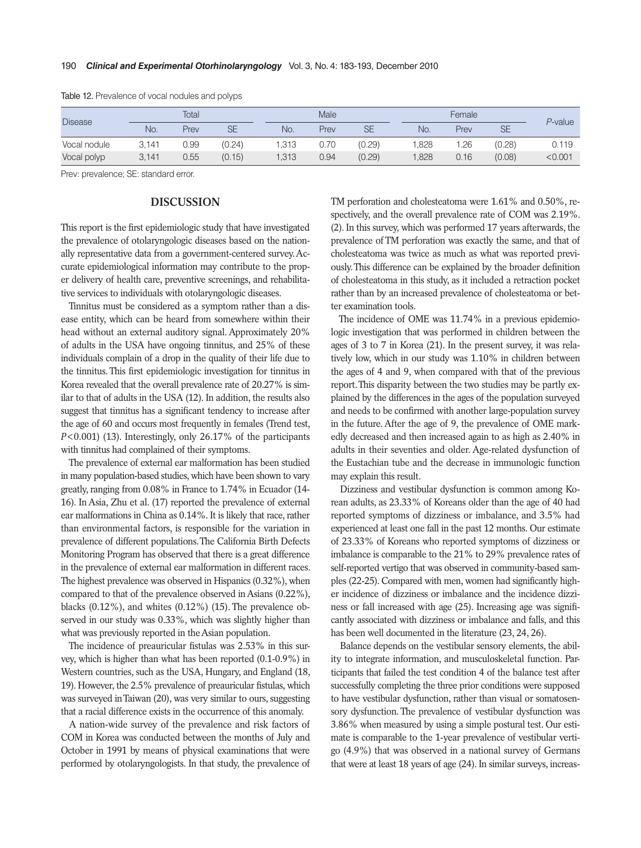| <b>Disease</b> | Total |      |           | Male  |      |           | Female |      |           | P-value |
|----------------|-------|------|-----------|-------|------|-----------|--------|------|-----------|---------|
|                | No.   | Prev | <b>SE</b> | No.   | Prev | <b>SE</b> | No.    | Prev | <b>SE</b> |         |
| Vocal nodule   | 3.141 | 0.99 | (0.24)    | 1.313 | 0.70 | (0.29)    | .828   | 1.26 | (0.28)    | 0.119   |
| Vocal polyp    | 3.141 | 0.55 | (0.15)    | 1.313 | 0.94 | (0.29)    | 1,828  | 0.16 | (0.08)    | < 0.001 |

Table 12. Prevalence of vocal nodules and polyps

Prev: prevalence; SE: standard error.

## **DISCUSSION**

This report is the first epidemiologic study that have investigated the prevalence of otolaryngologic diseases based on the nationally representative data from a government-centered survey. Accurate epidemiological information may contribute to the proper delivery of health care, preventive screenings, and rehabilitative services to individuals with otolaryngologic diseases.

Tinnitus must be considered as a symptom rather than a disease entity, which can be heard from somewhere within their head without an external auditory signal. Approximately 20% of adults in the USA have ongoing tinnitus, and 25% of these individuals complain of a drop in the quality of their life due to the tinnitus. This first epidemiologic investigation for tinnitus in Korea revealed that the overall prevalence rate of 20.27% is similar to that of adults in the USA (12). In addition, the results also suggest that tinnitus has a significant tendency to increase after the age of 60 and occurs most frequently in females (Trend test, *P*<0.001) (13). Interestingly, only 26.17% of the participants with tinnitus had complained of their symptoms.

The prevalence of external ear malformation has been studied in many population-based studies, which have been shown to vary greatly, ranging from 0.08% in France to 1.74% in Ecuador (14- 16). In Asia, Zhu et al. (17) reported the prevalence of external ear malformations in China as 0.14%. It is likely that race, rather than environmental factors, is responsible for the variation in prevalence of different populations. The California Birth Defects Monitoring Program has observed that there is a great difference in the prevalence of external ear malformation in different races. The highest prevalence was observed in Hispanics (0.32%), when compared to that of the prevalence observed in Asians (0.22%), blacks  $(0.12\%)$ , and whites  $(0.12\%)$  (15). The prevalence observed in our study was 0.33%, which was slightly higher than what was previously reported in the Asian population.

The incidence of preauricular fistulas was 2.53% in this survey, which is higher than what has been reported (0.1-0.9%) in Western countries, such as the USA, Hungary, and England (18, 19). However, the 2.5% prevalence of preauricular fistulas, which was surveyed in Taiwan (20), was very similar to ours, suggesting that a racial difference exists in the occurrence of this anomaly.

A nation-wide survey of the prevalence and risk factors of COM in Korea was conducted between the months of July and October in 1991 by means of physical examinations that were performed by otolaryngologists. In that study, the prevalence of TM perforation and cholesteatoma were 1.61% and 0.50%, respectively, and the overall prevalence rate of COM was 2.19%. (2). In this survey, which was performed 17 years afterwards, the prevalence of TM perforation was exactly the same, and that of cholesteatoma was twice as much as what was reported previously. This difference can be explained by the broader definition of cholesteatoma in this study, as it included a retraction pocket rather than by an increased prevalence of cholesteatoma or better examination tools.

The incidence of OME was 11.74% in a previous epidemiologic investigation that was performed in children between the ages of 3 to 7 in Korea (21). In the present survey, it was relatively low, which in our study was 1.10% in children between the ages of 4 and 9, when compared with that of the previous report. This disparity between the two studies may be partly explained by the differences in the ages of the population surveyed and needs to be confirmed with another large-population survey in the future. After the age of 9, the prevalence of OME markedly decreased and then increased again to as high as 2.40% in adults in their seventies and older. Age-related dysfunction of the Eustachian tube and the decrease in immunologic function may explain this result.

Dizziness and vestibular dysfunction is common among Korean adults, as 23.33% of Koreans older than the age of 40 had reported symptoms of dizziness or imbalance, and 3.5% had experienced at least one fall in the past 12 months. Our estimate of 23.33% of Koreans who reported symptoms of dizziness or imbalance is comparable to the 21% to 29% prevalence rates of self-reported vertigo that was observed in community-based samples (22-25). Compared with men, women had significantly higher incidence of dizziness or imbalance and the incidence dizziness or fall increased with age (25). Increasing age was significantly associated with dizziness or imbalance and falls, and this has been well documented in the literature (23, 24, 26).

Balance depends on the vestibular sensory elements, the ability to integrate information, and musculoskeletal function. Participants that failed the test condition 4 of the balance test after successfully completing the three prior conditions were supposed to have vestibular dysfunction, rather than visual or somatosensory dysfunction. The prevalence of vestibular dysfunction was 3.86% when measured by using a simple postural test. Our estimate is comparable to the 1-year prevalence of vestibular vertigo (4.9%) that was observed in a national survey of Germans that were at least 18 years of age (24). In similar surveys, increas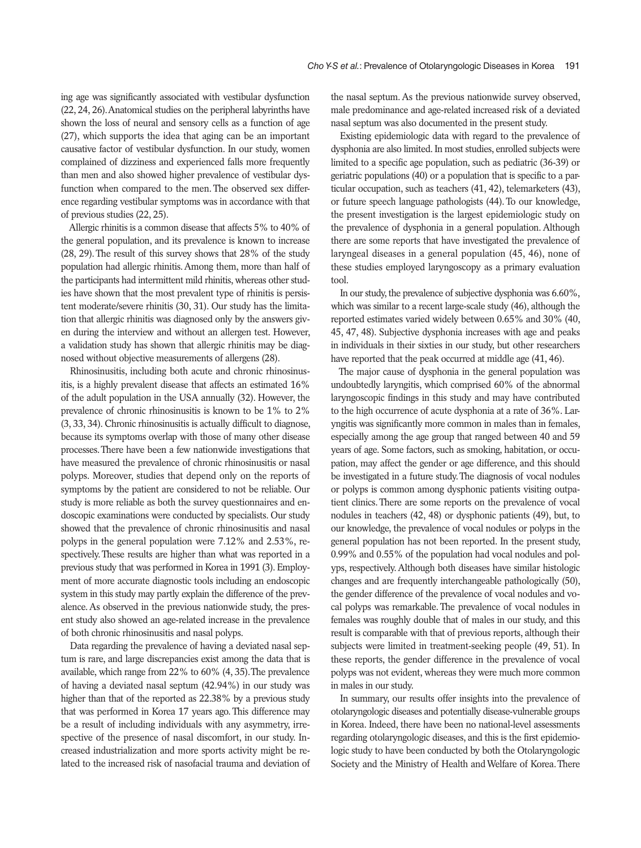ing age was significantly associated with vestibular dysfunction (22, 24, 26). Anatomical studies on the peripheral labyrinths have shown the loss of neural and sensory cells as a function of age (27), which supports the idea that aging can be an important causative factor of vestibular dysfunction. In our study, women complained of dizziness and experienced falls more frequently than men and also showed higher prevalence of vestibular dysfunction when compared to the men. The observed sex difference regarding vestibular symptoms was in accordance with that of previous studies (22, 25).

Allergic rhinitis is a common disease that affects 5% to 40% of the general population, and its prevalence is known to increase (28, 29). The result of this survey shows that 28% of the study population had allergic rhinitis. Among them, more than half of the participants had intermittent mild rhinitis, whereas other studies have shown that the most prevalent type of rhinitis is persistent moderate/severe rhinitis (30, 31). Our study has the limitation that allergic rhinitis was diagnosed only by the answers given during the interview and without an allergen test. However, a validation study has shown that allergic rhinitis may be diagnosed without objective measurements of allergens (28).

Rhinosinusitis, including both acute and chronic rhinosinusitis, is a highly prevalent disease that affects an estimated 16% of the adult population in the USA annually (32). However, the prevalence of chronic rhinosinusitis is known to be 1% to 2% (3, 33, 34). Chronic rhinosinusitis is actually difficult to diagnose, because its symptoms overlap with those of many other disease processes. There have been a few nationwide investigations that have measured the prevalence of chronic rhinosinusitis or nasal polyps. Moreover, studies that depend only on the reports of symptoms by the patient are considered to not be reliable. Our study is more reliable as both the survey questionnaires and endoscopic examinations were conducted by specialists. Our study showed that the prevalence of chronic rhinosinusitis and nasal polyps in the general population were 7.12% and 2.53%, respectively. These results are higher than what was reported in a previous study that was performed in Korea in 1991 (3). Employment of more accurate diagnostic tools including an endoscopic system in this study may partly explain the difference of the prevalence. As observed in the previous nationwide study, the present study also showed an age-related increase in the prevalence of both chronic rhinosinusitis and nasal polyps.

Data regarding the prevalence of having a deviated nasal septum is rare, and large discrepancies exist among the data that is available, which range from 22% to 60% (4, 35). The prevalence of having a deviated nasal septum (42.94%) in our study was higher than that of the reported as 22.38% by a previous study that was performed in Korea 17 years ago. This difference may be a result of including individuals with any asymmetry, irrespective of the presence of nasal discomfort, in our study. Increased industrialization and more sports activity might be related to the increased risk of nasofacial trauma and deviation of the nasal septum. As the previous nationwide survey observed, male predominance and age-related increased risk of a deviated nasal septum was also documented in the present study.

Existing epidemiologic data with regard to the prevalence of dysphonia are also limited. In most studies, enrolled subjects were limited to a specific age population, such as pediatric (36-39) or geriatric populations (40) or a population that is specific to a particular occupation, such as teachers (41, 42), telemarketers (43), or future speech language pathologists (44). To our knowledge, the present investigation is the largest epidemiologic study on the prevalence of dysphonia in a general population. Although there are some reports that have investigated the prevalence of laryngeal diseases in a general population (45, 46), none of these studies employed laryngoscopy as a primary evaluation tool.

In our study, the prevalence of subjective dysphonia was 6.60%, which was similar to a recent large-scale study (46), although the reported estimates varied widely between 0.65% and 30% (40, 45, 47, 48). Subjective dysphonia increases with age and peaks in individuals in their sixties in our study, but other researchers have reported that the peak occurred at middle age (41, 46).

The major cause of dysphonia in the general population was undoubtedly laryngitis, which comprised 60% of the abnormal laryngoscopic findings in this study and may have contributed to the high occurrence of acute dysphonia at a rate of 36%. Laryngitis was significantly more common in males than in females, especially among the age group that ranged between 40 and 59 years of age. Some factors, such as smoking, habitation, or occupation, may affect the gender or age difference, and this should be investigated in a future study. The diagnosis of vocal nodules or polyps is common among dysphonic patients visiting outpatient clinics. There are some reports on the prevalence of vocal nodules in teachers (42, 48) or dysphonic patients (49), but, to our knowledge, the prevalence of vocal nodules or polyps in the general population has not been reported. In the present study, 0.99% and 0.55% of the population had vocal nodules and polyps, respectively. Although both diseases have similar histologic changes and are frequently interchangeable pathologically (50), the gender difference of the prevalence of vocal nodules and vocal polyps was remarkable. The prevalence of vocal nodules in females was roughly double that of males in our study, and this result is comparable with that of previous reports, although their subjects were limited in treatment-seeking people (49, 51). In these reports, the gender difference in the prevalence of vocal polyps was not evident, whereas they were much more common in males in our study.

In summary, our results offer insights into the prevalence of otolaryngologic diseases and potentially disease-vulnerable groups in Korea. Indeed, there have been no national-level assessments regarding otolaryngologic diseases, and this is the first epidemiologic study to have been conducted by both the Otolaryngologic Society and the Ministry of Health and Welfare of Korea. There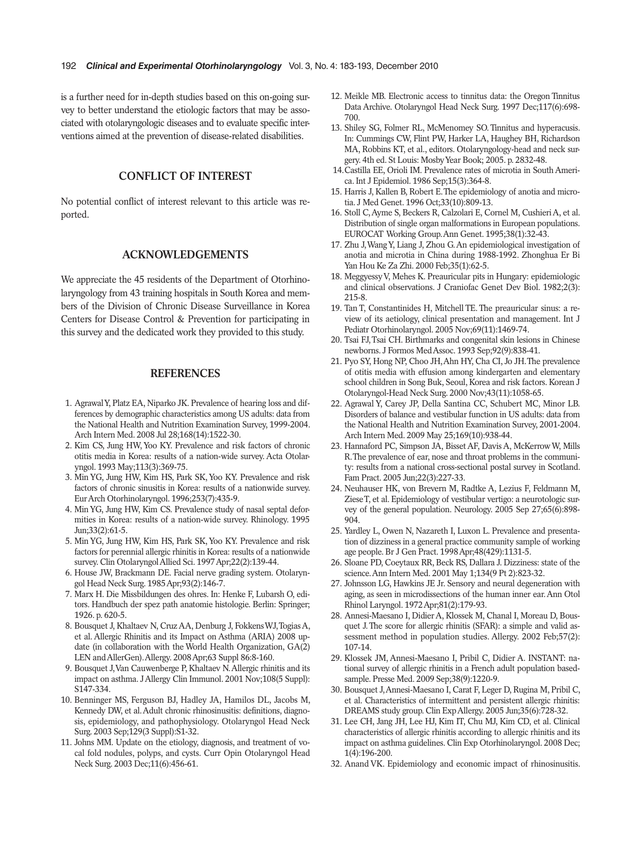is a further need for in-depth studies based on this on-going survey to better understand the etiologic factors that may be associated with otolaryngologic diseases and to evaluate specific interventions aimed at the prevention of disease-related disabilities.

# **CONFLICT OF INTEREST**

No potential conflict of interest relevant to this article was reported.

## **ACKNOWLEDGEMENTS**

We appreciate the 45 residents of the Department of Otorhinolaryngology from 43 training hospitals in South Korea and members of the Division of Chronic Disease Surveillance in Korea Centers for Disease Control & Prevention for participating in this survey and the dedicated work they provided to this study.

## **REFERENCES**

- 1. Agrawal Y, Platz EA, Niparko JK. Prevalence of hearing loss and differences by demographic characteristics among US adults: data from the National Health and Nutrition Examination Survey, 1999-2004. Arch Intern Med. 2008 Jul 28;168(14):1522-30.
- 2. Kim CS, Jung HW, Yoo KY. Prevalence and risk factors of chronic otitis media in Korea: results of a nation-wide survey. Acta Otolaryngol. 1993 May;113(3):369-75.
- 3. Min YG, Jung HW, Kim HS, Park SK, Yoo KY. Prevalence and risk factors of chronic sinusitis in Korea: results of a nationwide survey. Eur Arch Otorhinolaryngol. 1996;253(7):435-9.
- 4. Min YG, Jung HW, Kim CS. Prevalence study of nasal septal deformities in Korea: results of a nation-wide survey. Rhinology. 1995 Jun;33(2):61-5.
- 5. Min YG, Jung HW, Kim HS, Park SK, Yoo KY. Prevalence and risk factors for perennial allergic rhinitis in Korea: results of a nationwide survey. Clin Otolaryngol Allied Sci. 1997 Apr;22(2):139-44.
- 6. House JW, Brackmann DE. Facial nerve grading system. Otolaryngol Head Neck Surg. 1985 Apr;93(2):146-7.
- 7. Marx H. Die Missbildungen des ohres. In: Henke F, Lubarsh O, editors. Handbuch der spez path anatomie histologie. Berlin: Springer; 1926. p. 620-5.
- 8. Bousquet J, Khaltaev N, Cruz AA, Denburg J, Fokkens WJ, Togias A, et al. Allergic Rhinitis and its Impact on Asthma (ARIA) 2008 update (in collaboration with the World Health Organization, GA(2) LEN and AllerGen). Allergy. 2008 Apr;63 Suppl 86:8-160.
- 9. Bousquet J, Van Cauwenberge P, Khaltaev N. Allergic rhinitis and its impact on asthma. J Allergy Clin Immunol. 2001 Nov;108(5 Suppl): S147-334.
- 10. Benninger MS, Ferguson BJ, Hadley JA, Hamilos DL, Jacobs M, Kennedy DW, et al. Adult chronic rhinosinusitis: definitions, diagnosis, epidemiology, and pathophysiology. Otolaryngol Head Neck Surg. 2003 Sep;129(3 Suppl):S1-32.
- 11. Johns MM. Update on the etiology, diagnosis, and treatment of vocal fold nodules, polyps, and cysts. Curr Opin Otolaryngol Head Neck Surg. 2003 Dec;11(6):456-61.
- 12. Meikle MB. Electronic access to tinnitus data: the Oregon Tinnitus Data Archive. Otolaryngol Head Neck Surg. 1997 Dec;117(6):698- 700.
- 13. Shiley SG, Folmer RL, McMenomey SO. Tinnitus and hyperacusis. In: Cummings CW, Flint PW, Harker LA, Haughey BH, Richardson MA, Robbins KT, et al., editors. Otolaryngology-head and neck surgery. 4th ed. St Louis: Mosby Year Book; 2005. p. 2832-48.
- 14.Castilla EE, Orioli IM. Prevalence rates of microtia in South America. Int J Epidemiol. 1986 Sep;15(3):364-8.
- 15. Harris J, Kallen B, Robert E. The epidemiology of anotia and microtia. J Med Genet. 1996 Oct;33(10):809-13.
- 16. Stoll C, Ayme S, Beckers R, Calzolari E, Cornel M, Cushieri A, et al. Distribution of single organ malformations in European populations. EUROCAT Working Group. Ann Genet. 1995;38(1):32-43.
- 17. Zhu J, Wang Y, Liang J, Zhou G. An epidemiological investigation of anotia and microtia in China during 1988-1992. Zhonghua Er Bi Yan Hou Ke Za Zhi. 2000 Feb;35(1):62-5.
- 18. Meggyessy V, Mehes K. Preauricular pits in Hungary: epidemiologic and clinical observations. J Craniofac Genet Dev Biol. 1982;2(3): 215-8.
- 19. Tan T, Constantinides H, Mitchell TE. The preauricular sinus: a review of its aetiology, clinical presentation and management. Int J Pediatr Otorhinolaryngol. 2005 Nov;69(11):1469-74.
- 20. Tsai FJ, Tsai CH. Birthmarks and congenital skin lesions in Chinese newborns. J Formos Med Assoc. 1993 Sep;92(9):838-41.
- 21. Pyo SY, Hong NP, Choo JH, Ahn HY, Cha CI, Jo JH. The prevalence of otitis media with effusion among kindergarten and elementary school children in Song Buk, Seoul, Korea and risk factors. Korean J Otolaryngol-Head Neck Surg. 2000 Nov;43(11):1058-65.
- 22. Agrawal Y, Carey JP, Della Santina CC, Schubert MC, Minor LB. Disorders of balance and vestibular function in US adults: data from the National Health and Nutrition Examination Survey, 2001-2004. Arch Intern Med. 2009 May 25;169(10):938-44.
- 23. Hannaford PC, Simpson JA, Bisset AF, Davis A, McKerrow W, Mills R. The prevalence of ear, nose and throat problems in the community: results from a national cross-sectional postal survey in Scotland. Fam Pract. 2005 Jun;22(3):227-33.
- 24. Neuhauser HK, von Brevern M, Radtke A, Lezius F, Feldmann M, Ziese T, et al. Epidemiology of vestibular vertigo: a neurotologic survey of the general population. Neurology. 2005 Sep 27;65(6):898- 904.
- 25. Yardley L, Owen N, Nazareth I, Luxon L. Prevalence and presentation of dizziness in a general practice community sample of working age people. Br J Gen Pract. 1998 Apr;48(429):1131-5.
- 26. Sloane PD, Coeytaux RR, Beck RS, Dallara J. Dizziness: state of the science. Ann Intern Med. 2001 May 1;134(9 Pt 2):823-32.
- 27. Johnsson LG, Hawkins JE Jr. Sensory and neural degeneration with aging, as seen in microdissections of the human inner ear. Ann Otol Rhinol Laryngol. 1972 Apr;81(2):179-93.
- 28. Annesi-Maesano I, Didier A, Klossek M, Chanal I, Moreau D, Bousquet J. The score for allergic rhinitis (SFAR): a simple and valid assessment method in population studies. Allergy. 2002 Feb;57(2): 107-14.
- 29. Klossek JM, Annesi-Maesano I, Pribil C, Didier A. INSTANT: national survey of allergic rhinitis in a French adult population basedsample. Presse Med. 2009 Sep;38(9):1220-9.
- 30. Bousquet J, Annesi-Maesano I, Carat F, Leger D, Rugina M, Pribil C, et al. Characteristics of intermittent and persistent allergic rhinitis: DREAMS study group. Clin Exp Allergy. 2005 Jun;35(6):728-32.
- 31. Lee CH, Jang JH, Lee HJ, Kim IT, Chu MJ, Kim CD, et al. Clinical characteristics of allergic rhinitis according to allergic rhinitis and its impact on asthma guidelines. Clin Exp Otorhinolaryngol. 2008 Dec; 1(4):196-200.
- 32. Anand VK. Epidemiology and economic impact of rhinosinusitis.